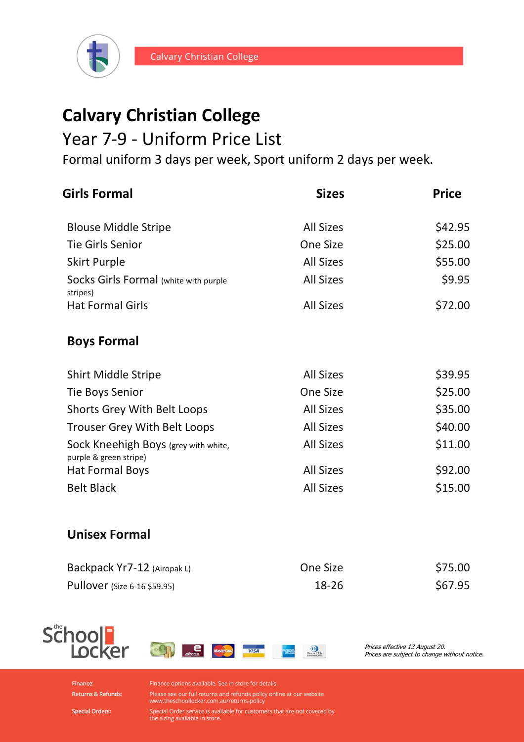

## **Calvary Christian College**

## Year 7-9 - Uniform Price List

Formal uniform 3 days per week, Sport uniform 2 days per week.

| <b>Girls Formal</b>                                            | <b>Sizes</b>     | <b>Price</b> |
|----------------------------------------------------------------|------------------|--------------|
| <b>Blouse Middle Stripe</b>                                    | <b>All Sizes</b> | \$42.95      |
| <b>Tie Girls Senior</b>                                        | One Size         | \$25.00      |
| <b>Skirt Purple</b>                                            | <b>All Sizes</b> | \$55.00      |
| Socks Girls Formal (white with purple<br>stripes)              | <b>All Sizes</b> | \$9.95       |
| <b>Hat Formal Girls</b>                                        | <b>All Sizes</b> | \$72.00      |
| <b>Boys Formal</b>                                             |                  |              |
| <b>Shirt Middle Stripe</b>                                     | <b>All Sizes</b> | \$39.95      |
| Tie Boys Senior                                                | <b>One Size</b>  | \$25.00      |
| <b>Shorts Grey With Belt Loops</b>                             | <b>All Sizes</b> | \$35.00      |
| <b>Trouser Grey With Belt Loops</b>                            | <b>All Sizes</b> | \$40.00      |
| Sock Kneehigh Boys (grey with white,<br>purple & green stripe) | <b>All Sizes</b> | \$11.00      |
| <b>Hat Formal Boys</b>                                         | <b>All Sizes</b> | \$92.00      |
| <b>Belt Black</b>                                              | <b>All Sizes</b> | \$15.00      |
| <b>Unisex Formal</b>                                           |                  |              |

| Backpack Yr7-12 (Airopak L)         | One Size | \$75.00 |
|-------------------------------------|----------|---------|
| <b>Pullover</b> (Size 6-16 \$59.95) | 18-26    | \$67.95 |





Prices effective 13 August 20. Prices are subject to change without notice.

Finance: **Returns & Refunds:**  Finance options available. See in store for details.

Please see our full returns and refunds policy online at our website<br>www.theschoollocker.com.au/returns-policy

Special Order service is available for customers that are not covered by<br>the sizing available in store.

**Special Orders:**